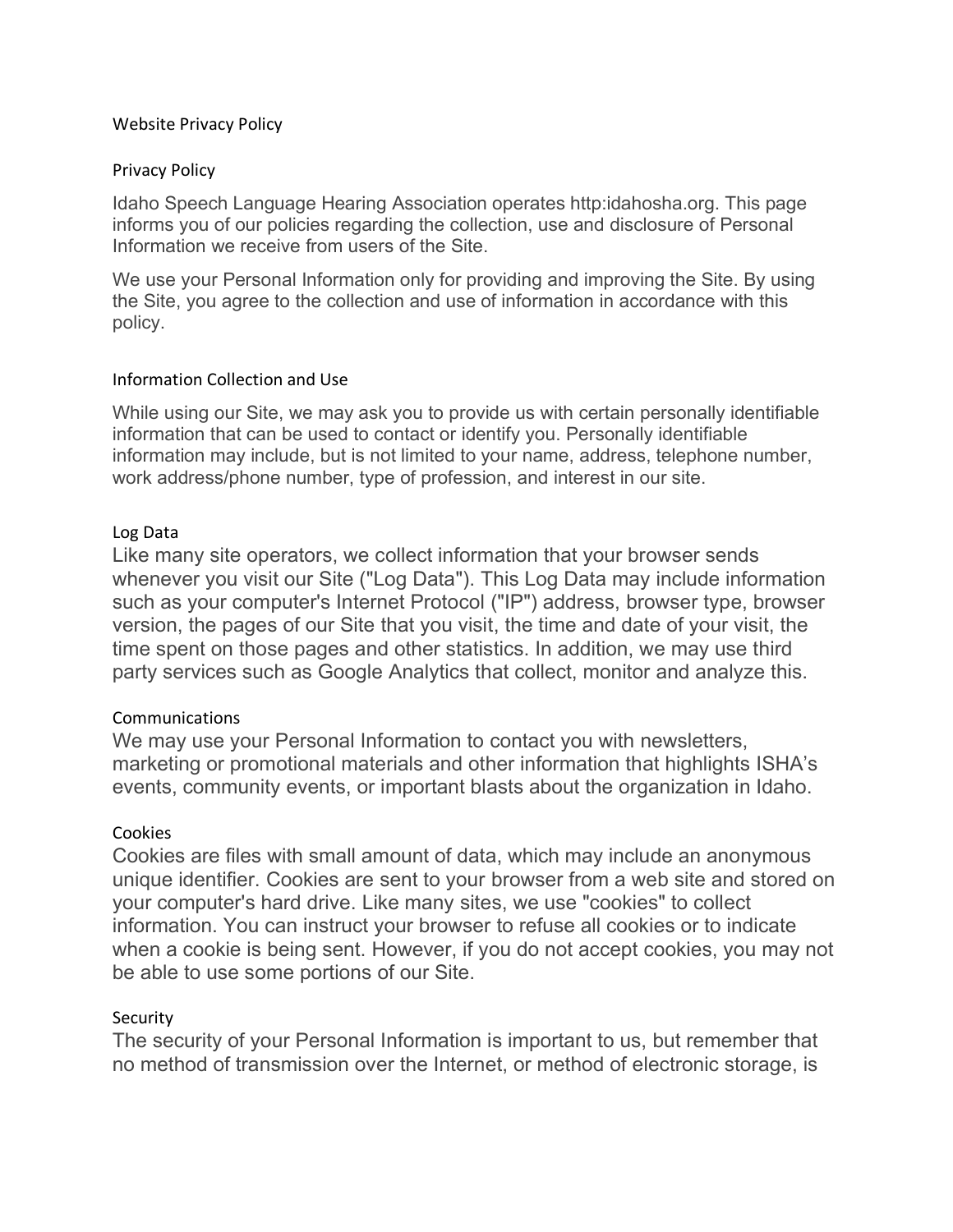#### Website Privacy Policy

#### Privacy Policy

Idaho Speech Language Hearing Association operates http:idahosha.org. This page informs you of our policies regarding the collection, use and disclosure of Personal Information we receive from users of the Site.

We use your Personal Information only for providing and improving the Site. By using the Site, you agree to the collection and use of information in accordance with this policy.

#### Information Collection and Use

While using our Site, we may ask you to provide us with certain personally identifiable information that can be used to contact or identify you. Personally identifiable information may include, but is not limited to your name, address, telephone number, work address/phone number, type of profession, and interest in our site.

#### Log Data

Like many site operators, we collect information that your browser sends whenever you visit our Site ("Log Data"). This Log Data may include information such as your computer's Internet Protocol ("IP") address, browser type, browser version, the pages of our Site that you visit, the time and date of your visit, the time spent on those pages and other statistics. In addition, we may use third party services such as Google Analytics that collect, monitor and analyze this.

## Communications

We may use your Personal Information to contact you with newsletters, marketing or promotional materials and other information that highlights ISHA's events, community events, or important blasts about the organization in Idaho.

## Cookies

Cookies are files with small amount of data, which may include an anonymous unique identifier. Cookies are sent to your browser from a web site and stored on your computer's hard drive. Like many sites, we use "cookies" to collect information. You can instruct your browser to refuse all cookies or to indicate when a cookie is being sent. However, if you do not accept cookies, you may not be able to use some portions of our Site.

## **Security**

The security of your Personal Information is important to us, but remember that no method of transmission over the Internet, or method of electronic storage, is